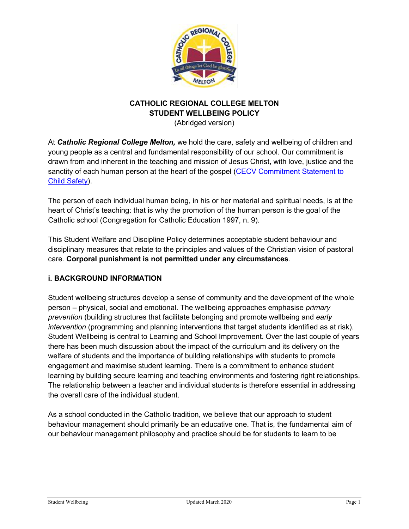

# **CATHOLIC REGIONAL COLLEGE MELTON STUDENT WELLBEING POLICY**

(Abridged version)

At *Catholic Regional College Melton,* we hold the care, safety and wellbeing of children and young people as a central and fundamental responsibility of our school. Our commitment is drawn from and inherent in the teaching and mission of Jesus Christ, with love, justice and the sanctity of each human person at the heart of the gospel (CECV Commitment Statement to Child Safety).

The person of each individual human being, in his or her material and spiritual needs, is at the heart of Christ's teaching: that is why the promotion of the human person is the goal of the Catholic school (Congregation for Catholic Education 1997, n. 9).

This Student Welfare and Discipline Policy determines acceptable student behaviour and disciplinary measures that relate to the principles and values of the Christian vision of pastoral care. **Corporal punishment is not permitted under any circumstances**.

## **i. BACKGROUND INFORMATION**

Student wellbeing structures develop a sense of community and the development of the whole person – physical, social and emotional. The wellbeing approaches emphasise *primary prevention* (building structures that facilitate belonging and promote wellbeing and *early intervention* (programming and planning interventions that target students identified as at risk). Student Wellbeing is central to Learning and School Improvement. Over the last couple of years there has been much discussion about the impact of the curriculum and its delivery on the welfare of students and the importance of building relationships with students to promote engagement and maximise student learning. There is a commitment to enhance student learning by building secure learning and teaching environments and fostering right relationships. The relationship between a teacher and individual students is therefore essential in addressing the overall care of the individual student.

As a school conducted in the Catholic tradition, we believe that our approach to student behaviour management should primarily be an educative one. That is, the fundamental aim of our behaviour management philosophy and practice should be for students to learn to be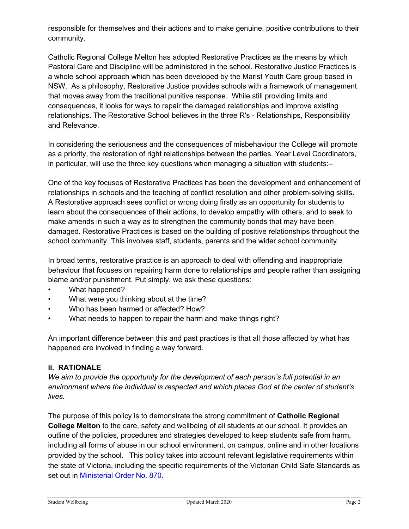responsible for themselves and their actions and to make genuine, positive contributions to their community.

Catholic Regional College Melton has adopted Restorative Practices as the means by which Pastoral Care and Discipline will be administered in the school. Restorative Justice Practices is a whole school approach which has been developed by the Marist Youth Care group based in NSW. As a philosophy, Restorative Justice provides schools with a framework of management that moves away from the traditional punitive response. While still providing limits and consequences, it looks for ways to repair the damaged relationships and improve existing relationships. The Restorative School believes in the three R's - Relationships, Responsibility and Relevance.

In considering the seriousness and the consequences of misbehaviour the College will promote as a priority, the restoration of right relationships between the parties. Year Level Coordinators, in particular, will use the three key questions when managing a situation with students:–

One of the key focuses of Restorative Practices has been the development and enhancement of relationships in schools and the teaching of conflict resolution and other problem-solving skills. A Restorative approach sees conflict or wrong doing firstly as an opportunity for students to learn about the consequences of their actions, to develop empathy with others, and to seek to make amends in such a way as to strengthen the community bonds that may have been damaged. Restorative Practices is based on the building of positive relationships throughout the school community. This involves staff, students, parents and the wider school community.

In broad terms, restorative practice is an approach to deal with offending and inappropriate behaviour that focuses on repairing harm done to relationships and people rather than assigning blame and/or punishment. Put simply, we ask these questions:

- What happened?
- What were you thinking about at the time?
- Who has been harmed or affected? How?
- What needs to happen to repair the harm and make things right?

An important difference between this and past practices is that all those affected by what has happened are involved in finding a way forward.

## **ii. RATIONALE**

*We aim to provide the opportunity for the development of each person's full potential in an environment where the individual is respected and which places God at the center of student's lives.*

The purpose of this policy is to demonstrate the strong commitment of **Catholic Regional College Melton** to the care, safety and wellbeing of all students at our school. It provides an outline of the policies, procedures and strategies developed to keep students safe from harm, including all forms of abuse in our school environment, on campus, online and in other locations provided by the school. This policy takes into account relevant legislative requirements within the state of Victoria, including the specific requirements of the Victorian Child Safe Standards as set out in Ministerial Order No. 870.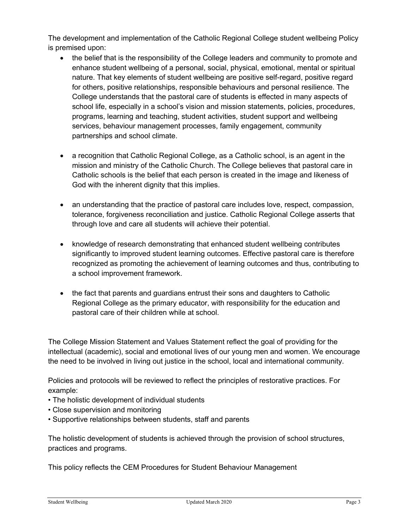The development and implementation of the Catholic Regional College student wellbeing Policy is premised upon:

- the belief that is the responsibility of the College leaders and community to promote and enhance student wellbeing of a personal, social, physical, emotional, mental or spiritual nature. That key elements of student wellbeing are positive self-regard, positive regard for others, positive relationships, responsible behaviours and personal resilience. The College understands that the pastoral care of students is effected in many aspects of school life, especially in a school's vision and mission statements, policies, procedures, programs, learning and teaching, student activities, student support and wellbeing services, behaviour management processes, family engagement, community partnerships and school climate.
- a recognition that Catholic Regional College, as a Catholic school, is an agent in the mission and ministry of the Catholic Church. The College believes that pastoral care in Catholic schools is the belief that each person is created in the image and likeness of God with the inherent dignity that this implies.
- an understanding that the practice of pastoral care includes love, respect, compassion, tolerance, forgiveness reconciliation and justice. Catholic Regional College asserts that through love and care all students will achieve their potential.
- knowledge of research demonstrating that enhanced student wellbeing contributes significantly to improved student learning outcomes. Effective pastoral care is therefore recognized as promoting the achievement of learning outcomes and thus, contributing to a school improvement framework.
- the fact that parents and guardians entrust their sons and daughters to Catholic Regional College as the primary educator, with responsibility for the education and pastoral care of their children while at school.

The College Mission Statement and Values Statement reflect the goal of providing for the intellectual (academic), social and emotional lives of our young men and women. We encourage the need to be involved in living out justice in the school, local and international community.

Policies and protocols will be reviewed to reflect the principles of restorative practices. For example:

- The holistic development of individual students
- Close supervision and monitoring
- Supportive relationships between students, staff and parents

The holistic development of students is achieved through the provision of school structures, practices and programs.

This policy reflects the CEM Procedures for Student Behaviour Management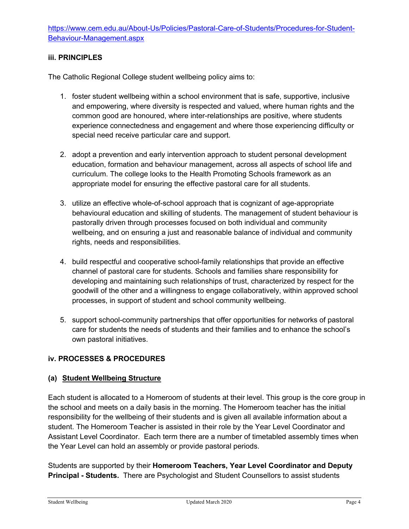## **iii. PRINCIPLES**

The Catholic Regional College student wellbeing policy aims to:

- 1. foster student wellbeing within a school environment that is safe, supportive, inclusive and empowering, where diversity is respected and valued, where human rights and the common good are honoured, where inter-relationships are positive, where students experience connectedness and engagement and where those experiencing difficulty or special need receive particular care and support.
- 2. adopt a prevention and early intervention approach to student personal development education, formation and behaviour management, across all aspects of school life and curriculum. The college looks to the Health Promoting Schools framework as an appropriate model for ensuring the effective pastoral care for all students.
- 3. utilize an effective whole-of-school approach that is cognizant of age-appropriate behavioural education and skilling of students. The management of student behaviour is pastorally driven through processes focused on both individual and community wellbeing, and on ensuring a just and reasonable balance of individual and community rights, needs and responsibilities.
- 4. build respectful and cooperative school-family relationships that provide an effective channel of pastoral care for students. Schools and families share responsibility for developing and maintaining such relationships of trust, characterized by respect for the goodwill of the other and a willingness to engage collaboratively, within approved school processes, in support of student and school community wellbeing.
- 5. support school-community partnerships that offer opportunities for networks of pastoral care for students the needs of students and their families and to enhance the school's own pastoral initiatives.

### **iv. PROCESSES & PROCEDURES**

### **(a) Student Wellbeing Structure**

Each student is allocated to a Homeroom of students at their level. This group is the core group in the school and meets on a daily basis in the morning. The Homeroom teacher has the initial responsibility for the wellbeing of their students and is given all available information about a student. The Homeroom Teacher is assisted in their role by the Year Level Coordinator and Assistant Level Coordinator. Each term there are a number of timetabled assembly times when the Year Level can hold an assembly or provide pastoral periods.

Students are supported by their **Homeroom Teachers, Year Level Coordinator and Deputy Principal - Students.** There are Psychologist and Student Counsellors to assist students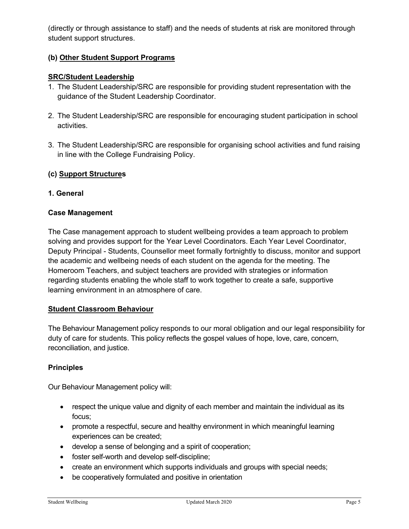(directly or through assistance to staff) and the needs of students at risk are monitored through student support structures.

## **(b) Other Student Support Programs**

## **SRC/Student Leadership**

- 1. The Student Leadership/SRC are responsible for providing student representation with the guidance of the Student Leadership Coordinator.
- 2. The Student Leadership/SRC are responsible for encouraging student participation in school activities.
- 3. The Student Leadership/SRC are responsible for organising school activities and fund raising in line with the College Fundraising Policy.

## **(c) Support Structures**

### **1. General**

### **Case Management**

The Case management approach to student wellbeing provides a team approach to problem solving and provides support for the Year Level Coordinators. Each Year Level Coordinator, Deputy Principal - Students, Counsellor meet formally fortnightly to discuss, monitor and support the academic and wellbeing needs of each student on the agenda for the meeting. The Homeroom Teachers, and subject teachers are provided with strategies or information regarding students enabling the whole staff to work together to create a safe, supportive learning environment in an atmosphere of care.

#### **Student Classroom Behaviour**

The Behaviour Management policy responds to our moral obligation and our legal responsibility for duty of care for students. This policy reflects the gospel values of hope, love, care, concern, reconciliation, and justice.

### **Principles**

Our Behaviour Management policy will:

- respect the unique value and dignity of each member and maintain the individual as its focus;
- promote a respectful, secure and healthy environment in which meaningful learning experiences can be created;
- develop a sense of belonging and a spirit of cooperation;
- foster self-worth and develop self-discipline;
- create an environment which supports individuals and groups with special needs;
- be cooperatively formulated and positive in orientation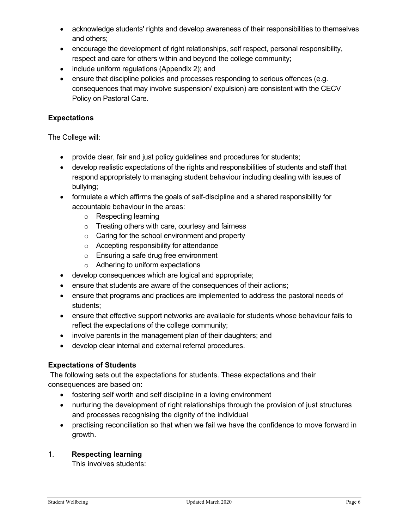- acknowledge students' rights and develop awareness of their responsibilities to themselves and others;
- encourage the development of right relationships, self respect, personal responsibility, respect and care for others within and beyond the college community;
- include uniform regulations (Appendix 2); and
- ensure that discipline policies and processes responding to serious offences (e.g. consequences that may involve suspension/ expulsion) are consistent with the CECV Policy on Pastoral Care.

### **Expectations**

The College will:

- provide clear, fair and just policy guidelines and procedures for students;
- develop realistic expectations of the rights and responsibilities of students and staff that respond appropriately to managing student behaviour including dealing with issues of bullying;
- formulate a which affirms the goals of self-discipline and a shared responsibility for accountable behaviour in the areas:
	- o Respecting learning
	- o Treating others with care, courtesy and fairness
	- o Caring for the school environment and property
	- o Accepting responsibility for attendance
	- o Ensuring a safe drug free environment
	- o Adhering to uniform expectations
- develop consequences which are logical and appropriate;
- ensure that students are aware of the consequences of their actions;
- ensure that programs and practices are implemented to address the pastoral needs of students;
- ensure that effective support networks are available for students whose behaviour fails to reflect the expectations of the college community;
- involve parents in the management plan of their daughters; and
- develop clear internal and external referral procedures.

#### **Expectations of Students**

The following sets out the expectations for students. These expectations and their consequences are based on:

- fostering self worth and self discipline in a loving environment
- nurturing the development of right relationships through the provision of just structures and processes recognising the dignity of the individual
- practising reconciliation so that when we fail we have the confidence to move forward in growth.

### 1. **Respecting learning**

This involves students: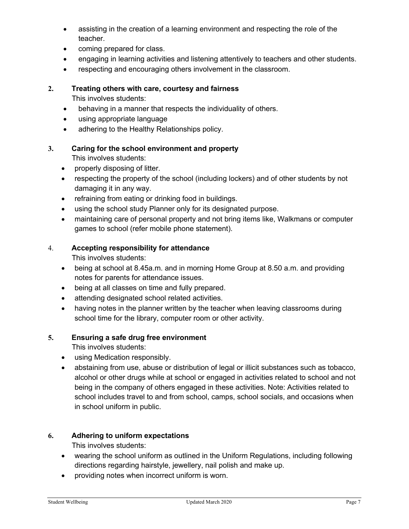- assisting in the creation of a learning environment and respecting the role of the teacher.
- coming prepared for class.
- engaging in learning activities and listening attentively to teachers and other students.
- respecting and encouraging others involvement in the classroom.

## **2. Treating others with care, courtesy and fairness**

This involves students:

- behaving in a manner that respects the individuality of others.
- using appropriate language
- adhering to the Healthy Relationships policy.

## **3. Caring for the school environment and property**

This involves students:

- properly disposing of litter.
- respecting the property of the school (including lockers) and of other students by not damaging it in any way.
- refraining from eating or drinking food in buildings.
- using the school study Planner only for its designated purpose.
- maintaining care of personal property and not bring items like, Walkmans or computer games to school (refer mobile phone statement).

## 4. **Accepting responsibility for attendance**

This involves students:

- being at school at 8.45a.m. and in morning Home Group at 8.50 a.m. and providing notes for parents for attendance issues.
- being at all classes on time and fully prepared.
- attending designated school related activities.
- having notes in the planner written by the teacher when leaving classrooms during school time for the library, computer room or other activity.

### **5. Ensuring a safe drug free environment**

This involves students:

- using Medication responsibly.
- abstaining from use, abuse or distribution of legal or illicit substances such as tobacco, alcohol or other drugs while at school or engaged in activities related to school and not being in the company of others engaged in these activities. Note: Activities related to school includes travel to and from school, camps, school socials, and occasions when in school uniform in public.

### **6. Adhering to uniform expectations**

This involves students:

- wearing the school uniform as outlined in the Uniform Regulations, including following directions regarding hairstyle, jewellery, nail polish and make up.
- providing notes when incorrect uniform is worn.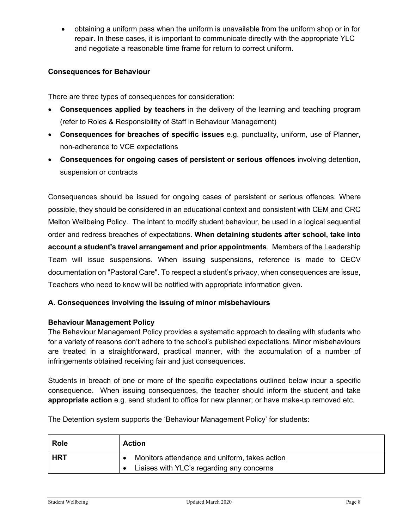• obtaining a uniform pass when the uniform is unavailable from the uniform shop or in for repair. In these cases, it is important to communicate directly with the appropriate YLC and negotiate a reasonable time frame for return to correct uniform.

## **Consequences for Behaviour**

There are three types of consequences for consideration:

- **Consequences applied by teachers** in the delivery of the learning and teaching program (refer to Roles & Responsibility of Staff in Behaviour Management)
- **Consequences for breaches of specific issues** e.g. punctuality, uniform, use of Planner, non-adherence to VCE expectations
- **Consequences for ongoing cases of persistent or serious offences** involving detention, suspension or contracts

Consequences should be issued for ongoing cases of persistent or serious offences. Where possible, they should be considered in an educational context and consistent with CEM and CRC Melton Wellbeing Policy. The intent to modify student behaviour, be used in a logical sequential order and redress breaches of expectations. **When detaining students after school, take into account a student's travel arrangement and prior appointments**. Members of the Leadership Team will issue suspensions. When issuing suspensions, reference is made to CECV documentation on "Pastoral Care". To respect a student's privacy, when consequences are issue, Teachers who need to know will be notified with appropriate information given.

### **A. Consequences involving the issuing of minor misbehaviours**

#### **Behaviour Management Policy**

The Behaviour Management Policy provides a systematic approach to dealing with students who for a variety of reasons don't adhere to the school's published expectations. Minor misbehaviours are treated in a straightforward, practical manner, with the accumulation of a number of infringements obtained receiving fair and just consequences.

Students in breach of one or more of the specific expectations outlined below incur a specific consequence. When issuing consequences, the teacher should inform the student and take **appropriate action** e.g. send student to office for new planner; or have make-up removed etc.

The Detention system supports the 'Behaviour Management Policy' for students:

| <b>Role</b> | <b>Action</b>                                 |  |
|-------------|-----------------------------------------------|--|
| <b>HRT</b>  | Monitors attendance and uniform, takes action |  |
|             | Liaises with YLC's regarding any concerns     |  |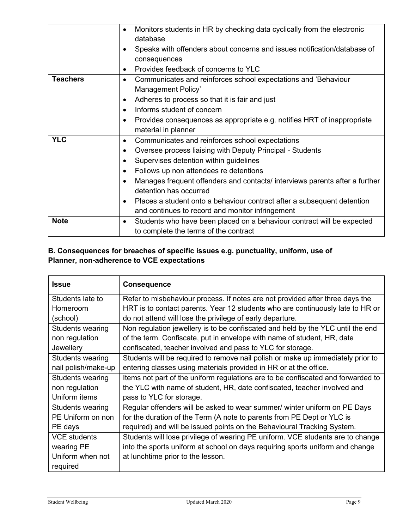|                 | Monitors students in HR by checking data cyclically from the electronic<br>$\bullet$<br>database |  |
|-----------------|--------------------------------------------------------------------------------------------------|--|
|                 | Speaks with offenders about concerns and issues notification/database of                         |  |
|                 | consequences                                                                                     |  |
|                 | Provides feedback of concerns to YLC<br>$\bullet$                                                |  |
| <b>Teachers</b> | Communicates and reinforces school expectations and 'Behaviour<br>$\bullet$                      |  |
|                 | Management Policy'                                                                               |  |
|                 | Adheres to process so that it is fair and just<br>٠                                              |  |
|                 | Informs student of concern<br>$\bullet$                                                          |  |
|                 | Provides consequences as appropriate e.g. notifies HRT of inappropriate                          |  |
|                 | material in planner                                                                              |  |
| <b>YLC</b>      | Communicates and reinforces school expectations<br>٠                                             |  |
|                 | Oversee process liaising with Deputy Principal - Students<br>٠                                   |  |
|                 | Supervises detention within guidelines                                                           |  |
|                 | Follows up non attendees re detentions                                                           |  |
|                 | Manages frequent offenders and contacts/ interviews parents after a further                      |  |
|                 | detention has occurred                                                                           |  |
|                 | Places a student onto a behaviour contract after a subsequent detention                          |  |
|                 | and continues to record and monitor infringement                                                 |  |
| <b>Note</b>     | Students who have been placed on a behaviour contract will be expected<br>$\bullet$              |  |
|                 | to complete the terms of the contract                                                            |  |

# **B. Consequences for breaches of specific issues e.g. punctuality, uniform, use of Planner, non-adherence to VCE expectations**

| <b>Issue</b>            | <b>Consequence</b>                                                               |
|-------------------------|----------------------------------------------------------------------------------|
| Students late to        | Refer to misbehaviour process. If notes are not provided after three days the    |
| Homeroom                | HRT is to contact parents. Year 12 students who are continuously late to HR or   |
| (school)                | do not attend will lose the privilege of early departure.                        |
| Students wearing        | Non regulation jewellery is to be confiscated and held by the YLC until the end  |
| non regulation          | of the term. Confiscate, put in envelope with name of student, HR, date          |
| Jewellery               | confiscated, teacher involved and pass to YLC for storage.                       |
| Students wearing        | Students will be required to remove nail polish or make up immediately prior to  |
| nail polish/make-up     | entering classes using materials provided in HR or at the office.                |
| <b>Students wearing</b> | Items not part of the uniform regulations are to be confiscated and forwarded to |
| non regulation          | the YLC with name of student, HR, date confiscated, teacher involved and         |
| Uniform items           | pass to YLC for storage.                                                         |
| Students wearing        | Regular offenders will be asked to wear summer/ winter uniform on PE Days        |
| PE Uniform on non       | for the duration of the Term (A note to parents from PE Dept or YLC is           |
| PE days                 | required) and will be issued points on the Behavioural Tracking System.          |
| <b>VCE</b> students     | Students will lose privilege of wearing PE uniform. VCE students are to change   |
| wearing PE              | into the sports uniform at school on days requiring sports uniform and change    |
| Uniform when not        | at lunchtime prior to the lesson.                                                |
| required                |                                                                                  |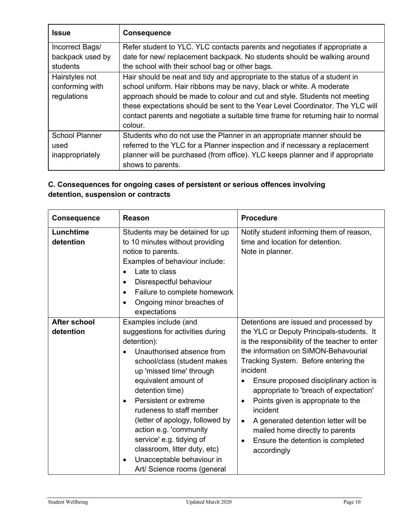| <b>Issue</b>          | <b>Consequence</b>                                                               |  |
|-----------------------|----------------------------------------------------------------------------------|--|
| Incorrect Bags/       | Refer student to YLC. YLC contacts parents and negotiates if appropriate a       |  |
| backpack used by      | date for new/replacement backpack. No students should be walking around          |  |
| students              | the school with their school bag or other bags.                                  |  |
| Hairstyles not        | Hair should be neat and tidy and appropriate to the status of a student in       |  |
| conforming with       | school uniform. Hair ribbons may be navy, black or white. A moderate             |  |
| regulations           | approach should be made to colour and cut and style. Students not meeting        |  |
|                       | these expectations should be sent to the Year Level Coordinator. The YLC will    |  |
|                       | contact parents and negotiate a suitable time frame for returning hair to normal |  |
|                       | colour.                                                                          |  |
| <b>School Planner</b> | Students who do not use the Planner in an appropriate manner should be           |  |
| used                  | referred to the YLC for a Planner inspection and if necessary a replacement      |  |
| inappropriately       | planner will be purchased (from office). YLC keeps planner and if appropriate    |  |
|                       | shows to parents.                                                                |  |

# **C. Consequences for ongoing cases of persistent or serious offences involving detention, suspension or contracts**

| <b>Consequence</b>        | <b>Reason</b>                                                                                                                                                                                                                                                                                                                                                                                                                                                       | <b>Procedure</b>                                                                                                                                                                                                                                                                                                                                                                                                                                                                                                                             |
|---------------------------|---------------------------------------------------------------------------------------------------------------------------------------------------------------------------------------------------------------------------------------------------------------------------------------------------------------------------------------------------------------------------------------------------------------------------------------------------------------------|----------------------------------------------------------------------------------------------------------------------------------------------------------------------------------------------------------------------------------------------------------------------------------------------------------------------------------------------------------------------------------------------------------------------------------------------------------------------------------------------------------------------------------------------|
| Lunchtime<br>detention    | Students may be detained for up<br>to 10 minutes without providing<br>notice to parents.<br>Examples of behaviour include:<br>Late to class<br>Disrespectful behaviour<br>٠<br>Failure to complete homework<br>٠<br>Ongoing minor breaches of<br>٠<br>expectations                                                                                                                                                                                                  | Notify student informing them of reason,<br>time and location for detention.<br>Note in planner.                                                                                                                                                                                                                                                                                                                                                                                                                                             |
| After school<br>detention | Examples include (and<br>suggestions for activities during<br>detention):<br>Unauthorised absence from<br>school/class (student makes<br>up 'missed time' through<br>equivalent amount of<br>detention time)<br>Persistent or extreme<br>$\bullet$<br>rudeness to staff member<br>(letter of apology, followed by<br>action e.g. 'community<br>service' e.g. tidying of<br>classroom, litter duty, etc)<br>Unacceptable behaviour in<br>Art/ Science rooms (general | Detentions are issued and processed by<br>the YLC or Deputy Principals-students. It<br>is the responsibility of the teacher to enter<br>the information on SIMON-Behavourial<br>Tracking System. Before entering the<br>incident<br>Ensure proposed disciplinary action is<br>appropriate to 'breach of expectation'<br>Points given is appropriate to the<br>$\bullet$<br>incident<br>A generated detention letter will be<br>$\bullet$<br>mailed home directly to parents<br>Ensure the detention is completed<br>$\bullet$<br>accordingly |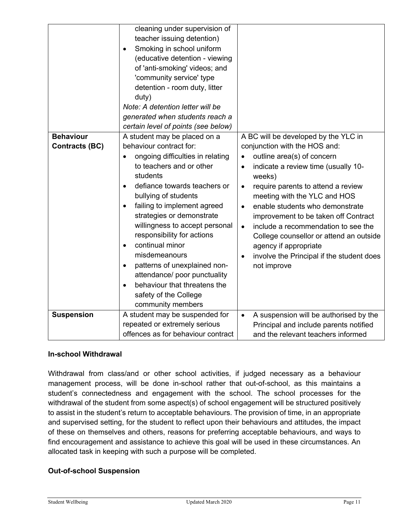|                                           | cleaning under supervision of<br>teacher issuing detention)<br>Smoking in school uniform<br>(educative detention - viewing<br>of 'anti-smoking' videos; and<br>'community service' type<br>detention - room duty, litter<br>duty)<br>Note: A detention letter will be<br>generated when students reach a<br>certain level of points (see below)                                                                                                                                                                |                                                                                                                                                                                                                                                                                                                                                                                                                                                                                                                                  |
|-------------------------------------------|----------------------------------------------------------------------------------------------------------------------------------------------------------------------------------------------------------------------------------------------------------------------------------------------------------------------------------------------------------------------------------------------------------------------------------------------------------------------------------------------------------------|----------------------------------------------------------------------------------------------------------------------------------------------------------------------------------------------------------------------------------------------------------------------------------------------------------------------------------------------------------------------------------------------------------------------------------------------------------------------------------------------------------------------------------|
| <b>Behaviour</b><br><b>Contracts (BC)</b> | A student may be placed on a<br>behaviour contract for:<br>ongoing difficulties in relating<br>to teachers and or other<br>students<br>defiance towards teachers or<br>bullying of students<br>failing to implement agreed<br>strategies or demonstrate<br>willingness to accept personal<br>responsibility for actions<br>continual minor<br>$\bullet$<br>misdemeanours<br>patterns of unexplained non-<br>attendance/ poor punctuality<br>behaviour that threatens the<br>$\bullet$<br>safety of the College | A BC will be developed by the YLC in<br>conjunction with the HOS and:<br>outline area(s) of concern<br>indicate a review time (usually 10-<br>$\bullet$<br>weeks)<br>require parents to attend a review<br>$\bullet$<br>meeting with the YLC and HOS<br>enable students who demonstrate<br>$\bullet$<br>improvement to be taken off Contract<br>include a recommendation to see the<br>$\bullet$<br>College counsellor or attend an outside<br>agency if appropriate<br>involve the Principal if the student does<br>not improve |
| <b>Suspension</b>                         | community members<br>A student may be suspended for<br>repeated or extremely serious<br>offences as for behaviour contract                                                                                                                                                                                                                                                                                                                                                                                     | A suspension will be authorised by the<br>$\bullet$<br>Principal and include parents notified<br>and the relevant teachers informed                                                                                                                                                                                                                                                                                                                                                                                              |

### **In-school Withdrawal**

Withdrawal from class/and or other school activities, if judged necessary as a behaviour management process, will be done in-school rather that out-of-school, as this maintains a student's connectedness and engagement with the school. The school processes for the withdrawal of the student from some aspect(s) of school engagement will be structured positively to assist in the student's return to acceptable behaviours. The provision of time, in an appropriate and supervised setting, for the student to reflect upon their behaviours and attitudes, the impact of these on themselves and others, reasons for preferring acceptable behaviours, and ways to find encouragement and assistance to achieve this goal will be used in these circumstances. An allocated task in keeping with such a purpose will be completed.

## **Out-of-school Suspension**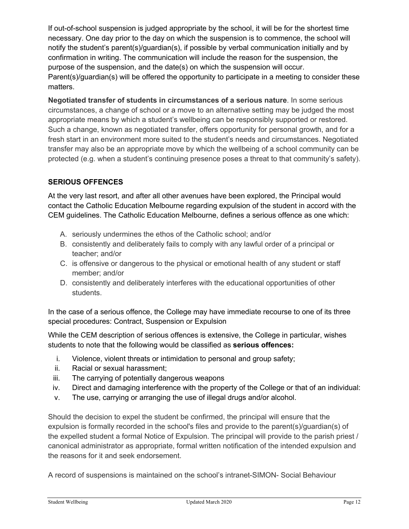If out-of-school suspension is judged appropriate by the school, it will be for the shortest time necessary. One day prior to the day on which the suspension is to commence, the school will notify the student's parent(s)/guardian(s), if possible by verbal communication initially and by confirmation in writing. The communication will include the reason for the suspension, the purpose of the suspension, and the date(s) on which the suspension will occur. Parent(s)/guardian(s) will be offered the opportunity to participate in a meeting to consider these matters.

**Negotiated transfer of students in circumstances of a serious nature**. In some serious circumstances, a change of school or a move to an alternative setting may be judged the most appropriate means by which a student's wellbeing can be responsibly supported or restored. Such a change, known as negotiated transfer, offers opportunity for personal growth, and for a fresh start in an environment more suited to the student's needs and circumstances. Negotiated transfer may also be an appropriate move by which the wellbeing of a school community can be protected (e.g. when a student's continuing presence poses a threat to that community's safety).

# **SERIOUS OFFENCES**

At the very last resort, and after all other avenues have been explored, the Principal would contact the Catholic Education Melbourne regarding expulsion of the student in accord with the CEM guidelines. The Catholic Education Melbourne, defines a serious offence as one which:

- A. seriously undermines the ethos of the Catholic school; and/or
- B. consistently and deliberately fails to comply with any lawful order of a principal or teacher; and/or
- C. is offensive or dangerous to the physical or emotional health of any student or staff member; and/or
- D. consistently and deliberately interferes with the educational opportunities of other students.

In the case of a serious offence, the College may have immediate recourse to one of its three special procedures: Contract, Suspension or Expulsion

While the CEM description of serious offences is extensive, the College in particular, wishes students to note that the following would be classified as **serious offences:**

- i. Violence, violent threats or intimidation to personal and group safety;
- ii. Racial or sexual harassment;
- iii. The carrying of potentially dangerous weapons
- iv. Direct and damaging interference with the property of the College or that of an individual:
- v. The use, carrying or arranging the use of illegal drugs and/or alcohol.

Should the decision to expel the student be confirmed, the principal will ensure that the expulsion is formally recorded in the school's files and provide to the parent(s)/guardian(s) of the expelled student a formal Notice of Expulsion. The principal will provide to the parish priest / canonical administrator as appropriate, formal written notification of the intended expulsion and the reasons for it and seek endorsement.

A record of suspensions is maintained on the school's intranet-SIMON- Social Behaviour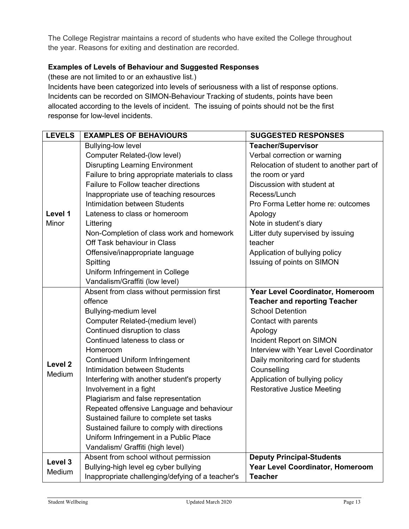The College Registrar maintains a record of students who have exited the College throughout the year. Reasons for exiting and destination are recorded.

### **Examples of Levels of Behaviour and Suggested Responses**

(these are not limited to or an exhaustive list.)

Incidents have been categorized into levels of seriousness with a list of response options. Incidents can be recorded on SIMON-Behaviour Tracking of students, points have been allocated according to the levels of incident. The issuing of points should not be the first response for low-level incidents.

| <b>LEVELS</b>      | <b>EXAMPLES OF BEHAVIOURS</b>                    | <b>SUGGESTED RESPONSES</b>               |
|--------------------|--------------------------------------------------|------------------------------------------|
|                    | <b>Bullying-low level</b>                        | <b>Teacher/Supervisor</b>                |
|                    | <b>Computer Related-(low level)</b>              | Verbal correction or warning             |
|                    | <b>Disrupting Learning Environment</b>           | Relocation of student to another part of |
|                    | Failure to bring appropriate materials to class  | the room or yard                         |
|                    | Failure to Follow teacher directions             | Discussion with student at               |
|                    | Inappropriate use of teaching resources          | Recess/Lunch                             |
|                    | Intimidation between Students                    | Pro Forma Letter home re: outcomes       |
| Level 1            | Lateness to class or homeroom                    | Apology                                  |
| Minor              | Littering                                        | Note in student's diary                  |
|                    | Non-Completion of class work and homework        | Litter duty supervised by issuing        |
|                    | Off Task behaviour in Class                      | teacher                                  |
|                    | Offensive/inappropriate language                 | Application of bullying policy           |
|                    | Spitting                                         | Issuing of points on SIMON               |
|                    | Uniform Infringement in College                  |                                          |
|                    | Vandalism/Graffiti (low level)                   |                                          |
|                    | Absent from class without permission first       | Year Level Coordinator, Homeroom         |
|                    | offence                                          | <b>Teacher and reporting Teacher</b>     |
|                    | Bullying-medium level                            | <b>School Detention</b>                  |
|                    | Computer Related-(medium level)                  | Contact with parents                     |
|                    | Continued disruption to class                    | Apology                                  |
|                    | Continued lateness to class or                   | Incident Report on SIMON                 |
|                    | Homeroom                                         | Interview with Year Level Coordinator    |
| Level <sub>2</sub> | <b>Continued Uniform Infringement</b>            | Daily monitoring card for students       |
| Medium             | Intimidation between Students                    | Counselling                              |
|                    | Interfering with another student's property      | Application of bullying policy           |
|                    | Involvement in a fight                           | <b>Restorative Justice Meeting</b>       |
|                    | Plagiarism and false representation              |                                          |
|                    | Repeated offensive Language and behaviour        |                                          |
|                    | Sustained failure to complete set tasks          |                                          |
|                    | Sustained failure to comply with directions      |                                          |
|                    | Uniform Infringement in a Public Place           |                                          |
|                    | Vandalism/ Graffiti (high level)                 |                                          |
|                    | Absent from school without permission            | <b>Deputy Principal-Students</b>         |
| Level 3<br>Medium  | Bullying-high level eg cyber bullying            | Year Level Coordinator, Homeroom         |
|                    | Inappropriate challenging/defying of a teacher's | <b>Teacher</b>                           |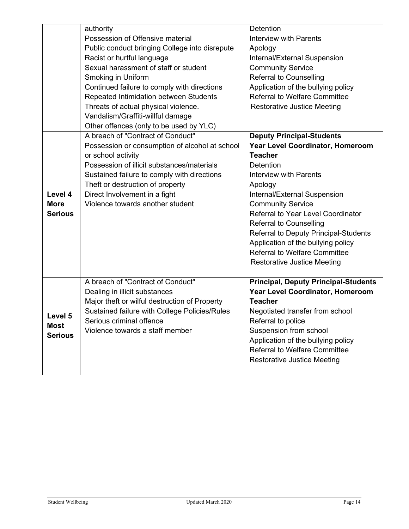|                | authority                                      | Detention                                   |
|----------------|------------------------------------------------|---------------------------------------------|
|                | Possession of Offensive material               | Interview with Parents                      |
|                | Public conduct bringing College into disrepute | Apology                                     |
|                | Racist or hurtful language                     | Internal/External Suspension                |
|                | Sexual harassment of staff or student          | <b>Community Service</b>                    |
|                | Smoking in Uniform                             | <b>Referral to Counselling</b>              |
|                | Continued failure to comply with directions    | Application of the bullying policy          |
|                | Repeated Intimidation between Students         | <b>Referral to Welfare Committee</b>        |
|                | Threats of actual physical violence.           | <b>Restorative Justice Meeting</b>          |
|                | Vandalism/Graffiti-willful damage              |                                             |
|                | Other offences (only to be used by YLC)        |                                             |
|                | A breach of "Contract of Conduct"              | <b>Deputy Principal-Students</b>            |
|                | Possession or consumption of alcohol at school | Year Level Coordinator, Homeroom            |
|                | or school activity                             | <b>Teacher</b>                              |
|                | Possession of illicit substances/materials     | Detention                                   |
|                | Sustained failure to comply with directions    | <b>Interview with Parents</b>               |
|                | Theft or destruction of property               | Apology                                     |
| Level 4        | Direct Involvement in a fight                  | Internal/External Suspension                |
| <b>More</b>    | Violence towards another student               | <b>Community Service</b>                    |
| <b>Serious</b> |                                                | Referral to Year Level Coordinator          |
|                |                                                | <b>Referral to Counselling</b>              |
|                |                                                | Referral to Deputy Principal-Students       |
|                |                                                | Application of the bullying policy          |
|                |                                                | <b>Referral to Welfare Committee</b>        |
|                |                                                | <b>Restorative Justice Meeting</b>          |
|                | A breach of "Contract of Conduct"              | <b>Principal, Deputy Principal-Students</b> |
|                | Dealing in illicit substances                  | Year Level Coordinator, Homeroom            |
|                | Major theft or wilful destruction of Property  | <b>Teacher</b>                              |
|                | Sustained failure with College Policies/Rules  | Negotiated transfer from school             |
| Level 5        | Serious criminal offence                       | Referral to police                          |
| <b>Most</b>    | Violence towards a staff member                | Suspension from school                      |
| <b>Serious</b> |                                                | Application of the bullying policy          |
|                |                                                | <b>Referral to Welfare Committee</b>        |
|                |                                                | <b>Restorative Justice Meeting</b>          |
|                |                                                |                                             |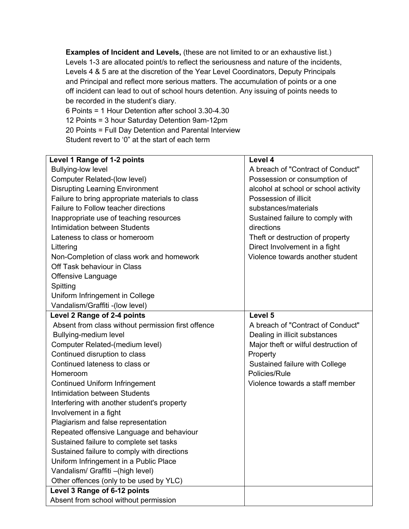**Examples of Incident and Levels,** (these are not limited to or an exhaustive list.) Levels 1-3 are allocated point/s to reflect the seriousness and nature of the incidents, Levels 4 & 5 are at the discretion of the Year Level Coordinators, Deputy Principals and Principal and reflect more serious matters. The accumulation of points or a one off incident can lead to out of school hours detention. Any issuing of points needs to be recorded in the student's diary.

6 Points = 1 Hour Detention after school 3.30-4.30 12 Points = 3 hour Saturday Detention 9am-12pm 20 Points = Full Day Detention and Parental Interview Student revert to '0" at the start of each term

| Level 1 Range of 1-2 points                        | Level 4                              |
|----------------------------------------------------|--------------------------------------|
| <b>Bullying-low level</b>                          | A breach of "Contract of Conduct"    |
| Computer Related-(low level)                       | Possession or consumption of         |
| <b>Disrupting Learning Environment</b>             | alcohol at school or school activity |
| Failure to bring appropriate materials to class    | Possession of illicit                |
| Failure to Follow teacher directions               | substances/materials                 |
| Inappropriate use of teaching resources            | Sustained failure to comply with     |
| Intimidation between Students                      | directions                           |
| Lateness to class or homeroom                      | Theft or destruction of property     |
| Littering                                          | Direct Involvement in a fight        |
| Non-Completion of class work and homework          | Violence towards another student     |
| Off Task behaviour in Class                        |                                      |
| Offensive Language                                 |                                      |
| Spitting                                           |                                      |
| Uniform Infringement in College                    |                                      |
| Vandalism/Graffiti -(low level)                    |                                      |
| Level 2 Range of 2-4 points                        | Level 5                              |
| Absent from class without permission first offence | A breach of "Contract of Conduct"    |
| Bullying-medium level                              | Dealing in illicit substances        |
| Computer Related-(medium level)                    | Major theft or wilful destruction of |
| Continued disruption to class                      | Property                             |
| Continued lateness to class or                     | Sustained failure with College       |
| Homeroom                                           | Policies/Rule                        |
| <b>Continued Uniform Infringement</b>              | Violence towards a staff member      |
| Intimidation between Students                      |                                      |
| Interfering with another student's property        |                                      |
| Involvement in a fight                             |                                      |
| Plagiarism and false representation                |                                      |
| Repeated offensive Language and behaviour          |                                      |
| Sustained failure to complete set tasks            |                                      |
| Sustained failure to comply with directions        |                                      |
| Uniform Infringement in a Public Place             |                                      |
| Vandalism/ Graffiti - (high level)                 |                                      |
| Other offences (only to be used by YLC)            |                                      |
| Level 3 Range of 6-12 points                       |                                      |
| Absent from school without permission              |                                      |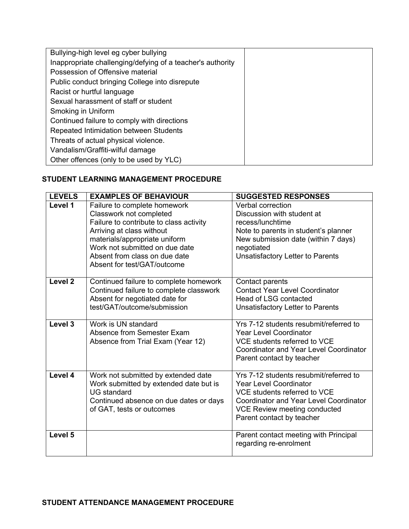| Bullying-high level eg cyber bullying                      |  |
|------------------------------------------------------------|--|
| Inappropriate challenging/defying of a teacher's authority |  |
| Possession of Offensive material                           |  |
| Public conduct bringing College into disrepute             |  |
| Racist or hurtful language                                 |  |
| Sexual harassment of staff or student                      |  |
| Smoking in Uniform                                         |  |
| Continued failure to comply with directions                |  |
| Repeated Intimidation between Students                     |  |
| Threats of actual physical violence.                       |  |
| Vandalism/Graffiti-wilful damage                           |  |
| Other offences (only to be used by YLC)                    |  |

## **STUDENT LEARNING MANAGEMENT PROCEDURE**

| <b>LEVELS</b>      | <b>EXAMPLES OF BEHAVIOUR</b>                                                                                                                                                                                                                                       | <b>SUGGESTED RESPONSES</b>                                                                                                                                                                                            |
|--------------------|--------------------------------------------------------------------------------------------------------------------------------------------------------------------------------------------------------------------------------------------------------------------|-----------------------------------------------------------------------------------------------------------------------------------------------------------------------------------------------------------------------|
| Level 1            | Failure to complete homework<br>Classwork not completed<br>Failure to contribute to class activity<br>Arriving at class without<br>materials/appropriate uniform<br>Work not submitted on due date<br>Absent from class on due date<br>Absent for test/GAT/outcome | Verbal correction<br>Discussion with student at<br>recess/lunchtime<br>Note to parents in student's planner<br>New submission date (within 7 days)<br>negotiated<br>Unsatisfactory Letter to Parents                  |
| Level <sub>2</sub> | Continued failure to complete homework<br>Continued failure to complete classwork<br>Absent for negotiated date for<br>test/GAT/outcome/submission                                                                                                                 | Contact parents<br><b>Contact Year Level Coordinator</b><br>Head of LSG contacted<br>Unsatisfactory Letter to Parents                                                                                                 |
| Level $3$          | Work is UN standard<br>Absence from Semester Exam<br>Absence from Trial Exam (Year 12)                                                                                                                                                                             | Yrs 7-12 students resubmit/referred to<br><b>Year Level Coordinator</b><br>VCE students referred to VCE<br><b>Coordinator and Year Level Coordinator</b><br>Parent contact by teacher                                 |
| Level 4            | Work not submitted by extended date<br>Work submitted by extended date but is<br><b>UG</b> standard<br>Continued absence on due dates or days<br>of GAT, tests or outcomes                                                                                         | Yrs 7-12 students resubmit/referred to<br><b>Year Level Coordinator</b><br>VCE students referred to VCE<br><b>Coordinator and Year Level Coordinator</b><br>VCE Review meeting conducted<br>Parent contact by teacher |
| Level 5            |                                                                                                                                                                                                                                                                    | Parent contact meeting with Principal<br>regarding re-enrolment                                                                                                                                                       |